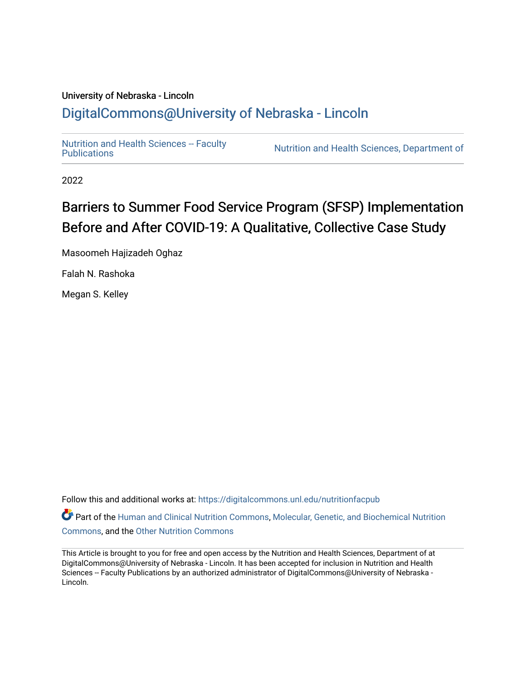## University of Nebraska - Lincoln [DigitalCommons@University of Nebraska - Lincoln](https://digitalcommons.unl.edu/)

Nutrition and Health Sciences -- Faculty<br>Publications

Nutrition and Health Sciences, Department of

2022

## Barriers to Summer Food Service Program (SFSP) Implementation Before and After COVID-19: A Qualitative, Collective Case Study

Masoomeh Hajizadeh Oghaz

Falah N. Rashoka

Megan S. Kelley

Follow this and additional works at: [https://digitalcommons.unl.edu/nutritionfacpub](https://digitalcommons.unl.edu/nutritionfacpub?utm_source=digitalcommons.unl.edu%2Fnutritionfacpub%2F292&utm_medium=PDF&utm_campaign=PDFCoverPages) 

Part of the [Human and Clinical Nutrition Commons](https://network.bepress.com/hgg/discipline/97?utm_source=digitalcommons.unl.edu%2Fnutritionfacpub%2F292&utm_medium=PDF&utm_campaign=PDFCoverPages), [Molecular, Genetic, and Biochemical Nutrition](https://network.bepress.com/hgg/discipline/99?utm_source=digitalcommons.unl.edu%2Fnutritionfacpub%2F292&utm_medium=PDF&utm_campaign=PDFCoverPages)  [Commons](https://network.bepress.com/hgg/discipline/99?utm_source=digitalcommons.unl.edu%2Fnutritionfacpub%2F292&utm_medium=PDF&utm_campaign=PDFCoverPages), and the [Other Nutrition Commons](https://network.bepress.com/hgg/discipline/101?utm_source=digitalcommons.unl.edu%2Fnutritionfacpub%2F292&utm_medium=PDF&utm_campaign=PDFCoverPages)

This Article is brought to you for free and open access by the Nutrition and Health Sciences, Department of at DigitalCommons@University of Nebraska - Lincoln. It has been accepted for inclusion in Nutrition and Health Sciences -- Faculty Publications by an authorized administrator of DigitalCommons@University of Nebraska -Lincoln.